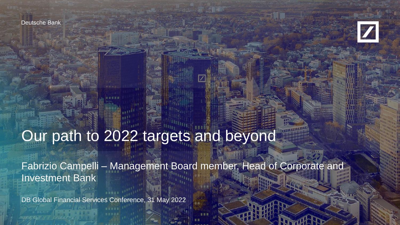Deutsche Bank



# Our path to 2022 targets and beyond

Fabrizio Campelli – Management Board member, Head of Corporate and Investment Bank

DB Global Financial Services Conference, 31 May 2022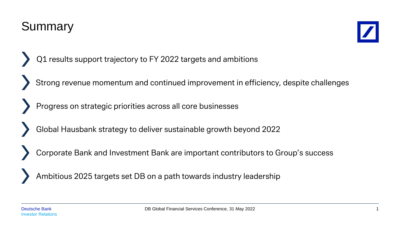DB Global Financial Services Conference, 31 May 2022

#### Summary

- Q1 results support trajectory to FY 2022 targets and ambitions
- Strong revenue momentum and continued improvement in efficiency, despite challenges
- Progress on strategic priorities across all core businesses
- Global Hausbank strategy to deliver sustainable growth beyond 2022
- Corporate Bank and Investment Bank are important contributors to Group's success
- Ambitious 2025 targets set DB on a path towards industry leadership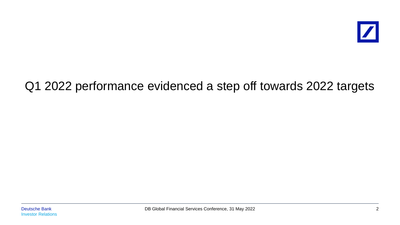

#### Q1 2022 performance evidenced a step off towards 2022 targets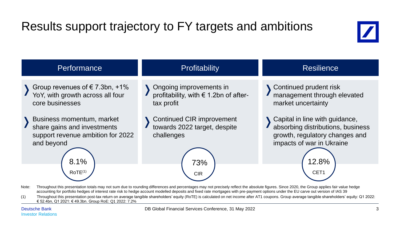## Results support trajectory to FY targets and ambitions



| <b>Performance</b>                                                                                                                         | <b>Profitability</b>                                                                                | <b>Resilience</b>                                                                                                                                   |  |  |  |  |  |  |  |
|--------------------------------------------------------------------------------------------------------------------------------------------|-----------------------------------------------------------------------------------------------------|-----------------------------------------------------------------------------------------------------------------------------------------------------|--|--|--|--|--|--|--|
| Group revenues of $\epsilon$ 7.3bn, +1%<br>YoY, with growth across all four<br>core businesses                                             | Ongoing improvements in<br>profitability, with € 1.2bn of after-<br>tax profit                      | Continued prudent risk<br>management through elevated<br>market uncertainty                                                                         |  |  |  |  |  |  |  |
| Business momentum, market<br>share gains and investments<br>support revenue ambition for 2022<br>and beyond<br>8.1%<br>ROTE <sup>(1)</sup> | <b>Continued CIR improvement</b><br>towards 2022 target, despite<br>challenges<br>73%<br><b>CIR</b> | Capital in line with guidance,<br>absorbing distributions, business<br>growth, regulatory changes and<br>impacts of war in Ukraine<br>12.8%<br>CET1 |  |  |  |  |  |  |  |

Note: Throughout this presentation totals may not sum due to rounding differences and percentages may not precisely reflect the absolute figures. Since 2020, the Group applies fair value hedge accounting for portfolio hedges of interest rate risk to hedge account modelled deposits and fixed rate mortgages with pre-payment options under the EU carve out version of IAS 39

(1) Throughout this presentation post-tax return on average tangible shareholders' equity (RoTE) is calculated on net income after AT1 coupons. Group average tangible shareholders' equity: Q1 2022: € 52.4bn, Q1 2021: € 49.3bn. Group RoE: Q1 2022: 7.2%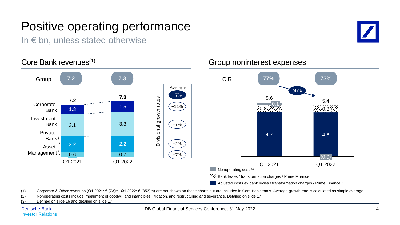## Positive operating performance

In  $\epsilon$  bn, unless stated otherwise



#### Core Bank revenues<sup>(1)</sup> Group noninterest expenses Group 7.2 3 7.3 73% CIR 77% 73% CIR Average (4)% +7% **7.2 7.3** Divisional growth rates 5.6 Divisional growth rates 5.4 Corporate 0.1 1.5 +11% 0.8 1.3 0.8 Bank Investment Bank 3.3 3.1 +7% Private 4.7 4.6 Bank 2.2 +2% 2.2 Asset Management \ 0.6 0.7 +7% (0.0) Q1 2021 Q1 2022 Q1 2021 Q1 2022 Nonoperating costs(2) **W.** Bank levies / transformation charges / Prime Finance  $\blacksquare$  Adjusted costs ex bank levies / transformation charges / Prime Finance<sup>(3)</sup>

(1) Corporate & Other revenues (Q1 2021: € (73)m, Q1 2022: € (353)m) are not shown on these charts but are included in Core Bank totals. Average growth rate is calculated as simple average

- (2) Nonoperating costs include impairment of goodwill and intangibles, litigation, and restructuring and severance. Detailed on slide 17
- (3) Defined on slide 16 and detailed on slide 17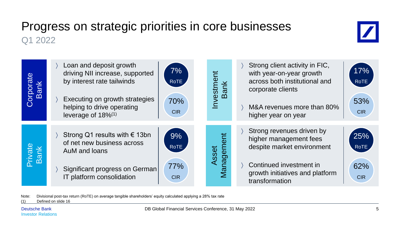#### Progress on strategic priorities in core businesses Q1 2022

| ate<br><b>Bank</b> | Loan and deposit growth<br>7%<br>driving NII increase, supported<br>by interest rate tailwinds<br>RoTE<br>Executing on growth strategies<br>70%<br>helping to drive operating<br><b>CIR</b><br>leverage of 18% <sup>(1)</sup> | Investment<br><b>Bank</b> | Strong client activity in FIC,<br>17%<br>with year-on-year growth<br>across both institutional and<br>RoTE<br>corporate clients<br>53%<br>M&A revenues more than 80%<br><b>CIR</b><br>higher year on year |
|--------------------|-------------------------------------------------------------------------------------------------------------------------------------------------------------------------------------------------------------------------------|---------------------------|-----------------------------------------------------------------------------------------------------------------------------------------------------------------------------------------------------------|
| Private<br>Bank    | Strong Q1 results with $\epsilon$ 13bn<br>9%<br>of net new business across<br>ROTE<br>AuM and loans<br>77%<br>Significant progress on German<br>IT platform consolidation<br>CIR <sub>1</sub>                                 | Management<br>Asset       | Strong revenues driven by<br>25%<br>higher management fees<br>despite market environment<br>RoTE<br>Continued investment in<br>62%<br>growth initiatives and platform<br><b>CIR</b><br>transformation     |

Note: Divisional post-tax return (RoTE) on average tangible shareholders' equity calculated applying a 28% tax rate

(1) Defined on slide 16

 $\boldsymbol{Z}$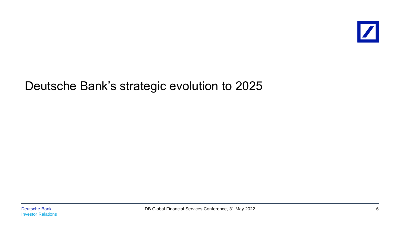#### Deutsche Bank's strategic evolution to 2025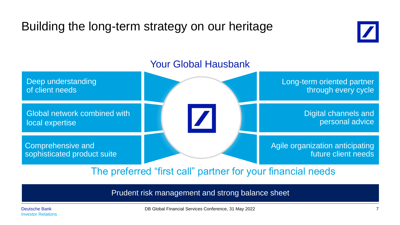## Building the long-term strategy on our heritage





The preferred "first call" partner for your financial needs

Prudent risk management and strong balance sheet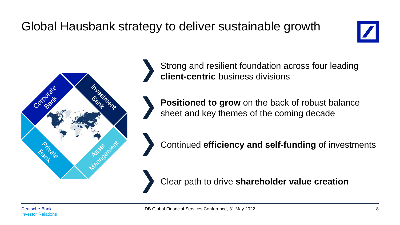## Global Hausbank strategy to deliver sustainable growth





Strong and resilient foundation across four leading **client-centric** business divisions

**Positioned to grow** on the back of robust balance sheet and key themes of the coming decade

Continued **efficiency and self-funding** of investments

Clear path to drive **shareholder value creation**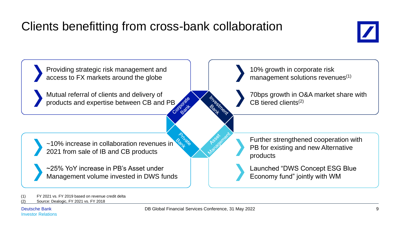## Clients benefitting from cross-bank collaboration





(1) FY 2021 vs. FY 2019 based on revenue credit delta

Source: Dealogic, FY 2021 vs. FY 2018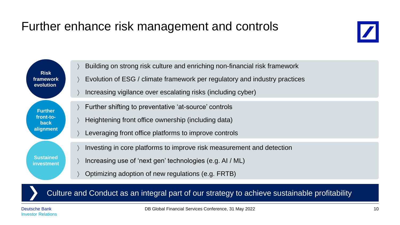#### Further enhance risk management and controls



**Risk framework evolution Sustained investment Further front-toback alignment** Building on strong risk culture and enriching non-financial risk framework Evolution of ESG / climate framework per regulatory and industry practices Increasing vigilance over escalating risks (including cyber) Investing in core platforms to improve risk measurement and detection Increasing use of 'next gen' technologies (e.g. AI / ML) Optimizing adoption of new regulations (e.g. FRTB) Further shifting to preventative 'at-source' controls Heightening front office ownership (including data) Leveraging front office platforms to improve controls

Culture and Conduct as an integral part of our strategy to achieve sustainable profitability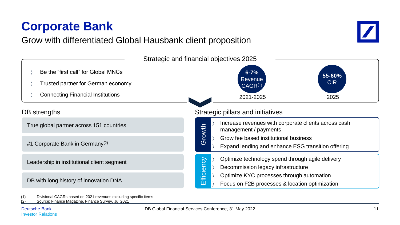

#### Grow with differentiated Global Hausbank client proposition

(1) Divisional CAGRs based on 2021 revenues excluding specific items

(2) Source: Finance Magazine, Finance Survey, Jul 2021



**Corporate Bank**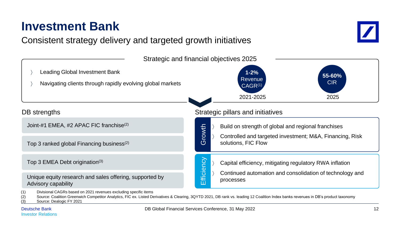

(3) Source: Dealogic FY 2021

**Investment Bank**

Consistent strategy delivery and targeted growth initiatives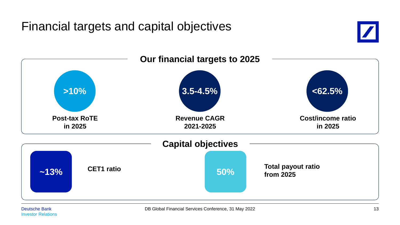Financial targets and capital objectives



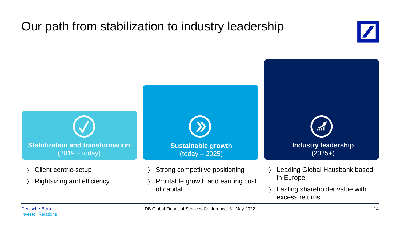### Our path from stabilization to industry leadership



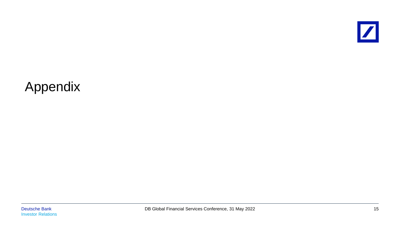

## Appendix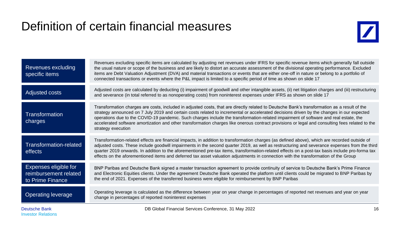#### Definition of certain financial measures



| Darita alea Daiabh                                                 | DD Olshal Fiscacial Comisso Conference 04 May 0000                                                                                                                                                                                                                                                                                                                                                                                                                                                                                                                                                         |
|--------------------------------------------------------------------|------------------------------------------------------------------------------------------------------------------------------------------------------------------------------------------------------------------------------------------------------------------------------------------------------------------------------------------------------------------------------------------------------------------------------------------------------------------------------------------------------------------------------------------------------------------------------------------------------------|
| <b>Operating leverage</b>                                          | Operating leverage is calculated as the difference between year on year change in percentages of reported net revenues and year on year<br>change in percentages of reported noninterest expenses                                                                                                                                                                                                                                                                                                                                                                                                          |
| Expenses eligible for<br>reimbursement related<br>to Prime Finance | BNP Paribas and Deutsche Bank signed a master transaction agreement to provide continuity of service to Deutsche Bank's Prime Finance<br>and Electronic Equities clients. Under the agreement Deutsche Bank operated the platform until clients could be migrated to BNP Paribas by<br>the end of 2021. Expenses of the transferred business were eligible for reimbursement by BNP Paribas                                                                                                                                                                                                                |
| Transformation-related<br>effects                                  | Transformation-related effects are financial impacts, in addition to transformation charges (as defined above), which are recorded outside of<br>adjusted costs. These include goodwill impairments in the second quarter 2019, as well as restructuring and severance expenses from the third<br>quarter 2019 onwards. In addition to the aforementioned pre-tax items, transformation-related effects on a post-tax basis include pro-forma tax<br>effects on the aforementioned items and deferred tax asset valuation adjustments in connection with the transformation of the Group                   |
| Transformation<br>charges                                          | Transformation charges are costs, included in adjusted costs, that are directly related to Deutsche Bank's transformation as a result of the<br>strategy announced on 7 July 2019 and certain costs related to incremental or accelerated decisions driven by the changes in our expected<br>operations due to the COVID-19 pandemic. Such charges include the transformation-related impairment of software and real estate, the<br>accelerated software amortization and other transformation charges like onerous contract provisions or legal and consulting fees related to the<br>strategy execution |
| Adjusted costs                                                     | Adjusted costs are calculated by deducting (i) impairment of goodwill and other intangible assets, (ii) net litigation charges and (iii) restructuring<br>and severance (in total referred to as nonoperating costs) from noninterest expenses under IFRS as shown on slide 17                                                                                                                                                                                                                                                                                                                             |
| Revenues excluding<br>specific items                               | Revenues excluding specific items are calculated by adjusting net revenues under IFRS for specific revenue items which generally fall outside<br>the usual nature or scope of the business and are likely to distort an accurate assessment of the divisional operating performance. Excluded<br>items are Debt Valuation Adjustment (DVA) and material transactions or events that are either one-off in nature or belong to a portfolio of<br>connected transactions or events where the P&L impact is limited to a specific period of time as shown on slide 17                                         |
|                                                                    |                                                                                                                                                                                                                                                                                                                                                                                                                                                                                                                                                                                                            |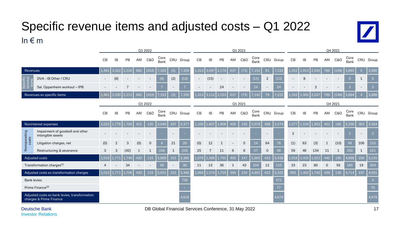#### Specific revenue items and adjusted costs – Q1 2022 In  $\varepsilon$  m



Group

Group

|                                                                                                                 |                                                       | Q1 2022        |                |       |     |                |              |                          | Q1 2021 |       |                |       |     |                          |              |                |           | Q4 2021        |       |       |              |                |                |                          |              |
|-----------------------------------------------------------------------------------------------------------------|-------------------------------------------------------|----------------|----------------|-------|-----|----------------|--------------|--------------------------|---------|-------|----------------|-------|-----|--------------------------|--------------|----------------|-----------|----------------|-------|-------|--------------|----------------|----------------|--------------------------|--------------|
|                                                                                                                 |                                                       | <b>CB</b>      | IB             | PB    | AM  | C&O            | Core<br>Bank | CRU                      | Group   | CB    | IB             | PB    | AM  | C&O                      | Core<br>Bank | CRU            | Group     | CB             | IB    | PB    | AM           | <b>C&amp;O</b> | Core<br>Bank   |                          | CRU Group    |
| Revenues                                                                                                        |                                                       | 1,461          | 3.322          | 2.220 | 682 | (353)          | 7,333        | (5)                      | 7,328   | 1,313 | 3,097          | 2.178 | 637 | (73)                     | .152         | 81             | 7,233     | 1,352          | 1,913 | 2.040 | 789          | (199)          | 5,895          | 5 <sup>5</sup>           | 5,900        |
| ecifi<br>enu<br>$\omega$                                                                                        | DVA - IB Other / CRU                                  |                | (8)            |       |     |                | (8)          | (2)                      | (10)    | ٠     | (15)           |       |     | $\overline{\phantom{a}}$ | (15)         | $\overline{2}$ | (13)      |                | 8     |       |              |                | 8              | $\mathbf{1}$             |              |
|                                                                                                                 | Sal. Oppenheim workout - IPB                          |                |                |       |     |                |              |                          |         |       |                | 24    |     |                          | 24           |                | 24        |                |       | 3     |              |                | $\mathcal{R}$  |                          |              |
| Revenues ex specific items                                                                                      |                                                       | 1,461          | 3.33C          | 2.213 | 682 | (353)          | 7.333        | (3)                      | 7,330   | L.313 | 112            | 2.153 | 637 | (73)                     |              | 79             | 7.222     | 1.352          | .,905 | 2.037 | 789          | (199)          | 5.884          |                          | 5,888        |
|                                                                                                                 |                                                       | Q1 2022        |                |       |     |                |              |                          | Q1 2021 |       |                |       |     |                          |              |                | Q4 2021   |                |       |       |              |                |                |                          |              |
|                                                                                                                 |                                                       | CB             | IB             | PB    | AM  | <b>C&amp;O</b> | Core<br>Bank | CRU                      | Group   | CB    | IB             | PB    | AM  | <b>C&amp;O</b>           | Core<br>Bank |                | CRU Group | CB             | IB    | PB    | AM           | <b>C&amp;O</b> | Core<br>Bank   |                          | CRU Group    |
| Noninterest expenses                                                                                            |                                                       | 1.022          | 1.776          | 1.700 | 421 | 120            | 5,040        | 337                      | 5,377   | 1,100 | 1,607          | 1.808 | 405 | 156                      | 5,076        | 498            | 5,574     | 1,077          | 1,534 | 1,952 | 452          | 185            | 5,200          | 363                      | 5,564        |
| Nonoperating<br>costs                                                                                           | Impairment of goodwill and other<br>intangible assets |                |                |       |     |                |              | $\overline{\phantom{a}}$ |         |       |                |       |     |                          |              |                |           | $\overline{2}$ |       |       |              |                | $\overline{2}$ | $\overline{\phantom{a}}$ |              |
|                                                                                                                 | Litigation charges, net                               | (0)            | $\overline{2}$ | 3     | (0) | $\Omega$       |              | 21                       | 26      | (0)   | 12             |       |     | $\overline{0}$           | 14           | 64             | 78        | (1)            | 63    | (3)   | $\mathbf{1}$ | (10)           | 49             | 106                      | 155          |
|                                                                                                                 | Restructuring & severance                             | 3              | 3              | (42)  |     |                | (34)         |                          | (33)    | 25    | $\overline{7}$ | 11    | 6   | 8                        | 57           | $\mathbf 0$    | 58        | 59             | 46    | 134   | 11           | 1              | 250            | 1                        | 251          |
| Adjusted costs                                                                                                  |                                                       | 1.019          | 1.771          | 1.740 | 420 | 119            | 5,069        | 315                      | 5,385   | 1.076 | 1.588          | 1.795 | 400 | 147                      | 5,005        | 433            | 5,439     | 1.018          | .425  | L.822 | 440          | 195            | 1,899          | 256                      | 5,155        |
|                                                                                                                 | Transformation charges <sup>(1)</sup>                 | $\overline{4}$ |                | 34    |     |                | 38           |                          | 38      | 11    | 13             | 36    |     | 43                       | 104          | 12             | 116       | 23             | 23    | 80    | $\mathbf 0$  | 59             | 185            | 19                       | 204          |
| Adjusted costs ex transformation charges                                                                        |                                                       | 1.015          | 1.771          | 1.706 | 420 | 119            | 5.031        | 315                      | 5,346   | 1,064 | 1.574          | 1.759 | 399 | 104                      | 4.901        | 422            | 5,322     | 995            | 1.402 | 1.742 | 439          | 136            | 4.714          | 237                      | 4,951        |
| <b>Bank levies</b>                                                                                              |                                                       |                |                |       |     |                |              |                          | 730     |       |                |       |     |                          |              |                | 571       |                |       |       |              |                |                |                          | $\mathbf{3}$ |
| Prime Finance <sup>(2)</sup>                                                                                    |                                                       |                |                |       |     |                |              |                          |         |       |                |       |     |                          |              |                | 77        |                |       |       |              |                |                |                          | 70           |
| the contract of the contract of the contract of the contract of the contract of the contract of the contract of |                                                       |                |                |       |     |                |              |                          |         |       |                |       |     |                          |              |                |           |                |       |       |              |                |                |                          |              |

Adjusted costs ex bank levies, transformation<br>charges & Prime Finance charges & Prime Finance et al. and the charges and the charges of the charges and the charges and the charges and the charges and the charges and the charges are charges and the charges and the charges and the charges and